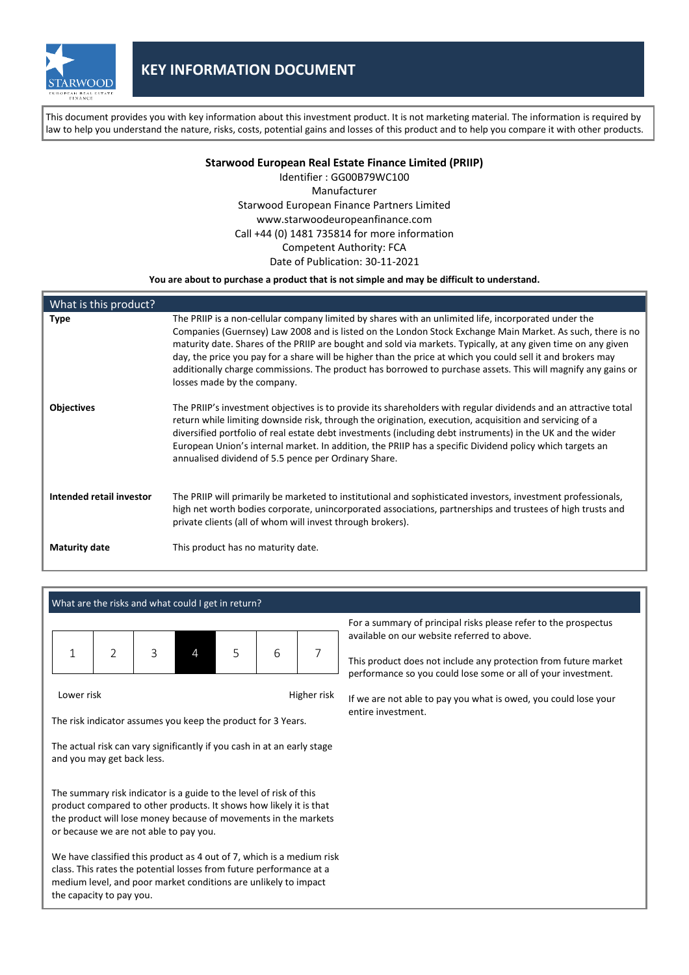

This document provides you with key information about this investment product. It is not marketing material. The information is required by law to help you understand the nature, risks, costs, potential gains and losses of this product and to help you compare it with other products.

**Starwood European Real Estate Finance Limited (PRIIP)**

Identifier : GG00B79WC100 Manufacturer Starwood European Finance Partners Limited www.starwoodeuropeanfinance.com Call +44 (0) 1481 735814 for more information Competent Authority: FCA Date of Publication: 30-11-2021

**You are about to purchase a product that is not simple and may be difficult to understand.**

| What is this product?    |                                                                                                                                                                                                                                                                                                                                                                                                                                                                                                                                                                                                   |
|--------------------------|---------------------------------------------------------------------------------------------------------------------------------------------------------------------------------------------------------------------------------------------------------------------------------------------------------------------------------------------------------------------------------------------------------------------------------------------------------------------------------------------------------------------------------------------------------------------------------------------------|
| <b>Type</b>              | The PRIIP is a non-cellular company limited by shares with an unlimited life, incorporated under the<br>Companies (Guernsey) Law 2008 and is listed on the London Stock Exchange Main Market. As such, there is no<br>maturity date. Shares of the PRIIP are bought and sold via markets. Typically, at any given time on any given<br>day, the price you pay for a share will be higher than the price at which you could sell it and brokers may<br>additionally charge commissions. The product has borrowed to purchase assets. This will magnify any gains or<br>losses made by the company. |
| <b>Objectives</b>        | The PRIIP's investment objectives is to provide its shareholders with regular dividends and an attractive total<br>return while limiting downside risk, through the origination, execution, acquisition and servicing of a<br>diversified portfolio of real estate debt investments (including debt instruments) in the UK and the wider<br>European Union's internal market. In addition, the PRIIP has a specific Dividend policy which targets an<br>annualised dividend of 5.5 pence per Ordinary Share.                                                                                      |
| Intended retail investor | The PRIIP will primarily be marketed to institutional and sophisticated investors, investment professionals,<br>high net worth bodies corporate, unincorporated associations, partnerships and trustees of high trusts and<br>private clients (all of whom will invest through brokers).                                                                                                                                                                                                                                                                                                          |
| <b>Maturity date</b>     | This product has no maturity date.                                                                                                                                                                                                                                                                                                                                                                                                                                                                                                                                                                |

|  |  |  |  |  | What are the risks and what could I get in return? |
|--|--|--|--|--|----------------------------------------------------|
|--|--|--|--|--|----------------------------------------------------|

| $\sqrt{1}$ | $2 \mid 3 \mid$ | $5 \quad$ | 6 | $\overline{7}$ |
|------------|-----------------|-----------|---|----------------|
|            |                 |           |   |                |

Lower risk **Higher risk** Higher risk

The risk indicator assumes you keep the product for 3 Years.

The actual risk can vary significantly if you cash in at an early stage and you may get back less.

The summary risk indicator is a guide to the level of risk of this product compared to other products. It shows how likely it is that the product will lose money because of movements in the markets or because we are not able to pay you.

We have classified this product as 4 out of 7, which is a medium risk class. This rates the potential losses from future performance at a medium level, and poor market conditions are unlikely to impact the capacity to pay you.

For a summary of principal risks please refer to the prospectus available on our website referred to above.

This product does not include any protection from future market performance so you could lose some or all of your investment.

If we are not able to pay you what is owed, you could lose your entire investment.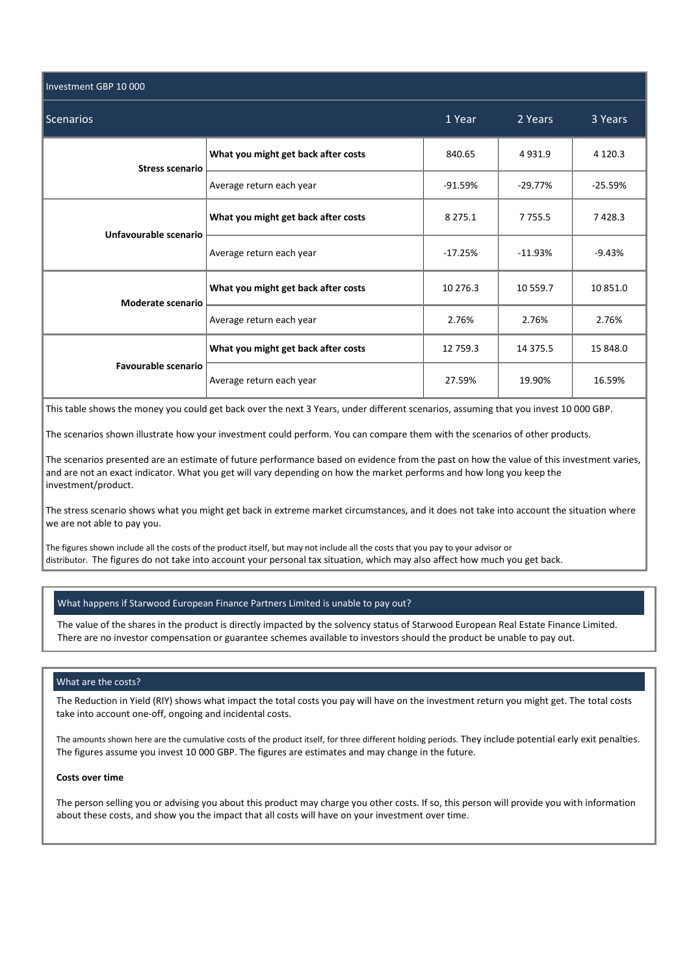| Investment GBP 10 000      |                                     |             |             |             |
|----------------------------|-------------------------------------|-------------|-------------|-------------|
| <b>Scenarios</b>           | 1 Year                              | 2 Years     | 3 Years     |             |
| <b>Stress scenario</b>     | What you might get back after costs | 840.65      | 4931.9      | 4 1 2 0 . 3 |
|                            | Average return each year            | $-91.59%$   | $-29.77%$   | $-25.59%$   |
| Unfavourable scenario      | What you might get back after costs | 8 2 7 5 . 1 | 7 7 5 5 . 5 | 7428.3      |
|                            | Average return each year            | $-17.25%$   | $-11.93%$   | $-9.43%$    |
| Moderate scenario          | What you might get back after costs | 10 276.3    | 10 559.7    | 10 851.0    |
|                            | Average return each year            | 2.76%       | 2.76%       | 2.76%       |
| <b>Favourable scenario</b> | What you might get back after costs | 12 759.3    | 14 375.5    | 15 848.0    |
|                            | Average return each year            | 27.59%      | 19.90%      | 16.59%      |

This table shows the money you could get back over the next 3 Years, under different scenarios, assuming that you invest 10 000 GBP.

The scenarios shown illustrate how your investment could perform. You can compare them with the scenarios of other products.

The scenarios presented are an estimate of future performance based on evidence from the past on how the value of this investment varies, and are not an exact indicator. What you get will vary depending on how the market performs and how long you keep the investment/product.

The stress scenario shows what you might get back in extreme market circumstances, and it does not take into account the situation where we are not able to pay you.

The figures shown include all the costs of the product itself, but may not include all the costs that you pay to your advisor or distributor. The figures do not take into account your personal tax situation, which may also affect how much you get back.

### What happens if Starwood European Finance Partners Limited is unable to pay out?

The value of the shares in the product is directly impacted by the solvency status of Starwood European Real Estate Finance Limited. There are no investor compensation or guarantee schemes available to investors should the product be unable to pay out.

#### What are the costs?

The Reduction in Yield (RIY) shows what impact the total costs you pay will have on the investment return you might get. The total costs take into account one-off, ongoing and incidental costs.

The amounts shown here are the cumulative costs of the product itself, for three different holding periods. They include potential early exit penalties. The figures assume you invest 10 000 GBP. The figures are estimates and may change in the future.

## **Costs over time**

The person selling you or advising you about this product may charge you other costs. If so, this person will provide you with information about these costs, and show you the impact that all costs will have on your investment over time.